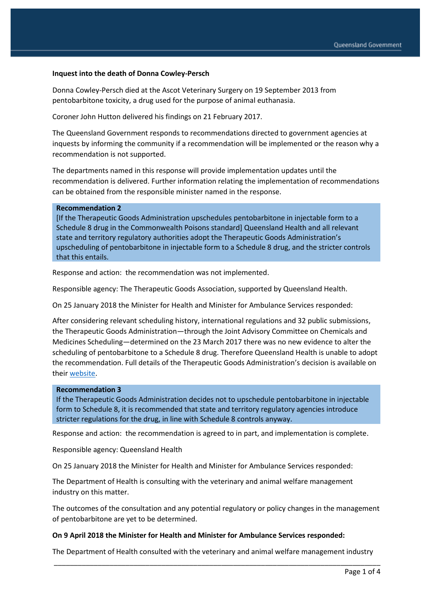### **Inquest into the death of Donna Cowley-Persch**

Donna Cowley-Persch died at the Ascot Veterinary Surgery on 19 September 2013 from pentobarbitone toxicity, a drug used for the purpose of animal euthanasia.

Coroner John Hutton delivered his findings on 21 February 2017.

The Queensland Government responds to recommendations directed to government agencies at inquests by informing the community if a recommendation will be implemented or the reason why a recommendation is not supported.

The departments named in this response will provide implementation updates until the recommendation is delivered. Further information relating the implementation of recommendations can be obtained from the responsible minister named in the response.

#### **Recommendation 2**

[If the Therapeutic Goods Administration upschedules pentobarbitone in injectable form to a Schedule 8 drug in the Commonwealth Poisons standard] Queensland Health and all relevant state and territory regulatory authorities adopt the Therapeutic Goods Administration's upscheduling of pentobarbitone in injectable form to a Schedule 8 drug, and the stricter controls that this entails.

Response and action: the recommendation was not implemented.

Responsible agency: The Therapeutic Goods Association, supported by Queensland Health.

On 25 January 2018 the Minister for Health and Minister for Ambulance Services responded:

After considering relevant scheduling history, international regulations and 32 public submissions, the Therapeutic Goods Administration—through the Joint Advisory Committee on Chemicals and Medicines Scheduling—determined on the 23 March 2017 there was no new evidence to alter the scheduling of pentobarbitone to a Schedule 8 drug. Therefore Queensland Health is unable to adopt the recommendation. Full details of the Therapeutic Goods Administration's decision is available on their [website.](https://www.tga.gov.au/book-page/22-pentobarbital-0)

#### **Recommendation 3**

If the Therapeutic Goods Administration decides not to upschedule pentobarbitone in injectable form to Schedule 8, it is recommended that state and territory regulatory agencies introduce stricter regulations for the drug, in line with Schedule 8 controls anyway.

Response and action: the recommendation is agreed to in part, and implementation is complete.

Responsible agency: Queensland Health

On 25 January 2018 the Minister for Health and Minister for Ambulance Services responded:

The Department of Health is consulting with the veterinary and animal welfare management industry on this matter.

The outcomes of the consultation and any potential regulatory or policy changes in the management of pentobarbitone are yet to be determined.

#### **On 9 April 2018 the Minister for Health and Minister for Ambulance Services responded:**

\_\_\_\_\_\_\_\_\_\_\_\_\_\_\_\_\_\_\_\_\_\_\_\_\_\_\_\_\_\_\_\_\_\_\_\_\_\_\_\_\_\_\_\_\_\_\_\_\_\_\_\_\_\_\_\_\_\_\_\_\_\_\_\_\_\_\_\_\_\_\_\_\_\_\_\_\_\_\_\_\_\_ The Department of Health consulted with the veterinary and animal welfare management industry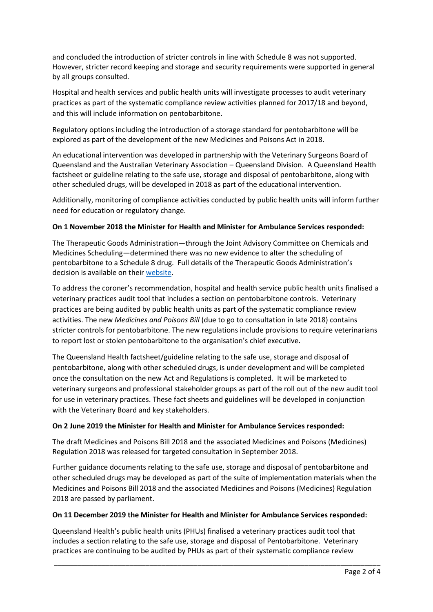and concluded the introduction of stricter controls in line with Schedule 8 was not supported. However, stricter record keeping and storage and security requirements were supported in general by all groups consulted.

Hospital and health services and public health units will investigate processes to audit veterinary practices as part of the systematic compliance review activities planned for 2017/18 and beyond, and this will include information on pentobarbitone.

Regulatory options including the introduction of a storage standard for pentobarbitone will be explored as part of the development of the new Medicines and Poisons Act in 2018.

An educational intervention was developed in partnership with the Veterinary Surgeons Board of Queensland and the Australian Veterinary Association – Queensland Division. A Queensland Health factsheet or guideline relating to the safe use, storage and disposal of pentobarbitone, along with other scheduled drugs, will be developed in 2018 as part of the educational intervention.

Additionally, monitoring of compliance activities conducted by public health units will inform further need for education or regulatory change.

## **On 1 November 2018 the Minister for Health and Minister for Ambulance Services responded:**

The Therapeutic Goods Administration—through the Joint Advisory Committee on Chemicals and Medicines Scheduling—determined there was no new evidence to alter the scheduling of pentobarbitone to a Schedule 8 drug. Full details of the Therapeutic Goods Administration's decision is available on their [website.](https://www.tga.gov.au/book-page/22-pentobarbital-0)

To address the coroner's recommendation, hospital and health service public health units finalised a veterinary practices audit tool that includes a section on pentobarbitone controls. Veterinary practices are being audited by public health units as part of the systematic compliance review activities. The new *Medicines and Poisons Bill* (due to go to consultation in late 2018) contains stricter controls for pentobarbitone. The new regulations include provisions to require veterinarians to report lost or stolen pentobarbitone to the organisation's chief executive.

The Queensland Health factsheet/guideline relating to the safe use, storage and disposal of pentobarbitone, along with other scheduled drugs, is under development and will be completed once the consultation on the new Act and Regulations is completed. It will be marketed to veterinary surgeons and professional stakeholder groups as part of the roll out of the new audit tool for use in veterinary practices. These fact sheets and guidelines will be developed in conjunction with the Veterinary Board and key stakeholders.

### **On 2 June 2019 the Minister for Health and Minister for Ambulance Services responded:**

The draft Medicines and Poisons Bill 2018 and the associated Medicines and Poisons (Medicines) Regulation 2018 was released for targeted consultation in September 2018.

Further guidance documents relating to the safe use, storage and disposal of pentobarbitone and other scheduled drugs may be developed as part of the suite of implementation materials when the Medicines and Poisons Bill 2018 and the associated Medicines and Poisons (Medicines) Regulation 2018 are passed by parliament.

### **On 11 December 2019 the Minister for Health and Minister for Ambulance Services responded:**

Queensland Health's public health units (PHUs) finalised a veterinary practices audit tool that includes a section relating to the safe use, storage and disposal of Pentobarbitone. Veterinary practices are continuing to be audited by PHUs as part of their systematic compliance review

\_\_\_\_\_\_\_\_\_\_\_\_\_\_\_\_\_\_\_\_\_\_\_\_\_\_\_\_\_\_\_\_\_\_\_\_\_\_\_\_\_\_\_\_\_\_\_\_\_\_\_\_\_\_\_\_\_\_\_\_\_\_\_\_\_\_\_\_\_\_\_\_\_\_\_\_\_\_\_\_\_\_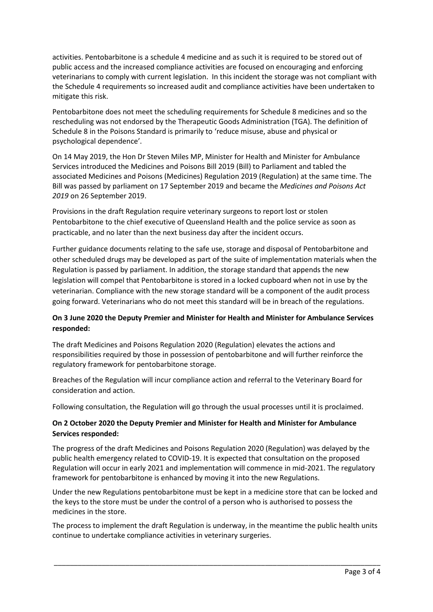activities. Pentobarbitone is a schedule 4 medicine and as such it is required to be stored out of public access and the increased compliance activities are focused on encouraging and enforcing veterinarians to comply with current legislation. In this incident the storage was not compliant with the Schedule 4 requirements so increased audit and compliance activities have been undertaken to mitigate this risk.

Pentobarbitone does not meet the scheduling requirements for Schedule 8 medicines and so the rescheduling was not endorsed by the Therapeutic Goods Administration (TGA). The definition of Schedule 8 in the Poisons Standard is primarily to 'reduce misuse, abuse and physical or psychological dependence'.

On 14 May 2019, the Hon Dr Steven Miles MP, Minister for Health and Minister for Ambulance Services introduced the Medicines and Poisons Bill 2019 (Bill) to Parliament and tabled the associated Medicines and Poisons (Medicines) Regulation 2019 (Regulation) at the same time. The Bill was passed by parliament on 17 September 2019 and became the *Medicines and Poisons Act 2019* on 26 September 2019.

Provisions in the draft Regulation require veterinary surgeons to report lost or stolen Pentobarbitone to the chief executive of Queensland Health and the police service as soon as practicable, and no later than the next business day after the incident occurs.

Further guidance documents relating to the safe use, storage and disposal of Pentobarbitone and other scheduled drugs may be developed as part of the suite of implementation materials when the Regulation is passed by parliament. In addition, the storage standard that appends the new legislation will compel that Pentobarbitone is stored in a locked cupboard when not in use by the veterinarian. Compliance with the new storage standard will be a component of the audit process going forward. Veterinarians who do not meet this standard will be in breach of the regulations.

# **On 3 June 2020 the Deputy Premier and Minister for Health and Minister for Ambulance Services responded:**

The draft Medicines and Poisons Regulation 2020 (Regulation) elevates the actions and responsibilities required by those in possession of pentobarbitone and will further reinforce the regulatory framework for pentobarbitone storage.

Breaches of the Regulation will incur compliance action and referral to the Veterinary Board for consideration and action.

Following consultation, the Regulation will go through the usual processes until it is proclaimed.

# **On 2 October 2020 the Deputy Premier and Minister for Health and Minister for Ambulance Services responded:**

The progress of the draft Medicines and Poisons Regulation 2020 (Regulation) was delayed by the public health emergency related to COVID-19. It is expected that consultation on the proposed Regulation will occur in early 2021 and implementation will commence in mid-2021. The regulatory framework for pentobarbitone is enhanced by moving it into the new Regulations.

Under the new Regulations pentobarbitone must be kept in a medicine store that can be locked and the keys to the store must be under the control of a person who is authorised to possess the medicines in the store.

The process to implement the draft Regulation is underway, in the meantime the public health units continue to undertake compliance activities in veterinary surgeries.

\_\_\_\_\_\_\_\_\_\_\_\_\_\_\_\_\_\_\_\_\_\_\_\_\_\_\_\_\_\_\_\_\_\_\_\_\_\_\_\_\_\_\_\_\_\_\_\_\_\_\_\_\_\_\_\_\_\_\_\_\_\_\_\_\_\_\_\_\_\_\_\_\_\_\_\_\_\_\_\_\_\_